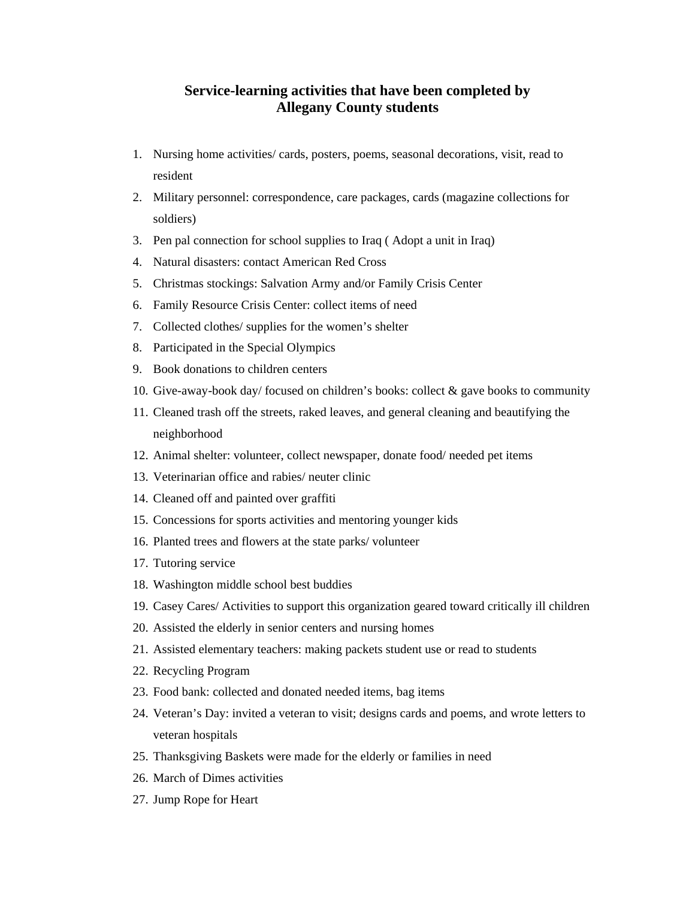## **Service-learning activities that have been completed by Allegany County students**

- 1. Nursing home activities/ cards, posters, poems, seasonal decorations, visit, read to resident
- 2. Military personnel: correspondence, care packages, cards (magazine collections for soldiers)
- 3. Pen pal connection for school supplies to Iraq ( Adopt a unit in Iraq)
- 4. Natural disasters: contact American Red Cross
- 5. Christmas stockings: Salvation Army and/or Family Crisis Center
- 6. Family Resource Crisis Center: collect items of need
- 7. Collected clothes/ supplies for the women's shelter
- 8. Participated in the Special Olympics
- 9. Book donations to children centers
- 10. Give-away-book day/ focused on children's books: collect & gave books to community
- 11. Cleaned trash off the streets, raked leaves, and general cleaning and beautifying the neighborhood
- 12. Animal shelter: volunteer, collect newspaper, donate food/ needed pet items
- 13. Veterinarian office and rabies/ neuter clinic
- 14. Cleaned off and painted over graffiti
- 15. Concessions for sports activities and mentoring younger kids
- 16. Planted trees and flowers at the state parks/ volunteer
- 17. Tutoring service
- 18. Washington middle school best buddies
- 19. Casey Cares/ Activities to support this organization geared toward critically ill children
- 20. Assisted the elderly in senior centers and nursing homes
- 21. Assisted elementary teachers: making packets student use or read to students
- 22. Recycling Program
- 23. Food bank: collected and donated needed items, bag items
- 24. Veteran's Day: invited a veteran to visit; designs cards and poems, and wrote letters to veteran hospitals
- 25. Thanksgiving Baskets were made for the elderly or families in need
- 26. March of Dimes activities
- 27. Jump Rope for Heart